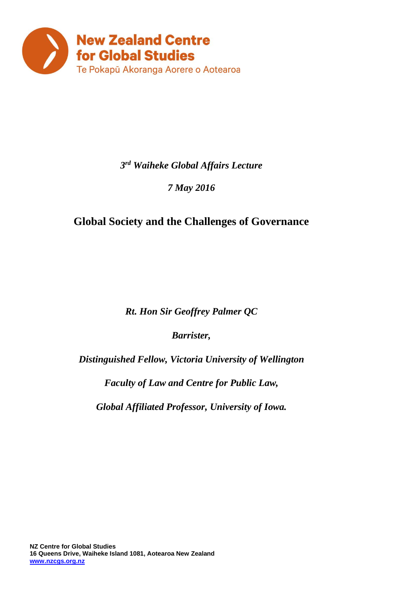

### *3 rd Waiheke Global Affairs Lecture*

### *7 May 2016*

## **Global Society and the Challenges of Governance**

*Rt. Hon Sir Geoffrey Palmer QC*

*Barrister,* 

*Distinguished Fellow, Victoria University of Wellington*

*Faculty of Law and Centre for Public Law,* 

*Global Affiliated Professor, University of Iowa.*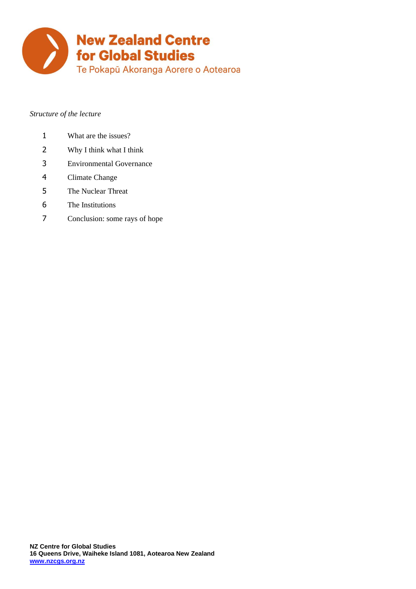

#### *Structure of the lecture*

- What are the issues?
- Why I think what I think
- Environmental Governance
- Climate Change
- The Nuclear Threat
- The Institutions
- Conclusion: some rays of hope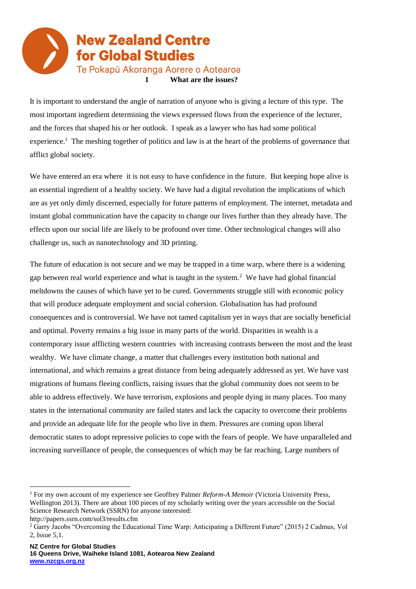

It is important to understand the angle of narration of anyone who is giving a lecture of this type. The most important ingredient determining the views expressed flows from the experience of the lecturer, and the forces that shaped his or her outlook. I speak as a lawyer who has had some political experience.<sup>1</sup> The meshing together of politics and law is at the heart of the problems of governance that afflict global society.

We have entered an era where it is not easy to have confidence in the future. But keeping hope alive is an essential ingredient of a healthy society. We have had a digital revolution the implications of which are as yet only dimly discerned, especially for future patterns of employment. The internet, metadata and instant global communication have the capacity to change our lives further than they already have. The effects upon our social life are likely to be profound over time. Other technological changes will also challenge us, such as nanotechnology and 3D printing.

The future of education is not secure and we may be trapped in a time warp, where there is a widening gap between real world experience and what is taught in the system. $<sup>2</sup>$  We have had global financial</sup> meltdowns the causes of which have yet to be cured. Governments struggle still with economic policy that will produce adequate employment and social cohersion. Globalisation has had profound consequences and is controversial. We have not tamed capitalism yet in ways that are socially beneficial and optimal. Poverty remains a big issue in many parts of the world. Disparities in wealth is a contemporary issue afflicting western countries with increasing contrasts between the most and the least wealthy. We have climate change, a matter that challenges every institution both national and international, and which remains a great distance from being adequately addressed as yet. We have vast migrations of humans fleeing conflicts, raising issues that the global community does not seem to be able to address effectively. We have terrorism, explosions and people dying in many places. Too many states in the international community are failed states and lack the capacity to overcome their problems and provide an adequate life for the people who live in them. Pressures are coming upon liberal democratic states to adopt repressive policies to cope with the fears of people. We have unparalleled and increasing surveillance of people, the consequences of which may be far reaching. Large numbers of

<sup>1</sup> For my own account of my experience see Geoffrey Palmer *Reform-A Memoir* (Victoria University Press, Wellington 2013). There are about 100 pieces of my scholarly writing over the years accessible on the Social Science Research Network (SSRN) for anyone interested:

http://papers.ssrn.com/sol3/results.cfm

<sup>2</sup> Garry Jacobs "Overcoming the Educational Time Warp: Anticipating a Different Future" (2015) 2 Cadmus, Vol 2, Issue 5,1.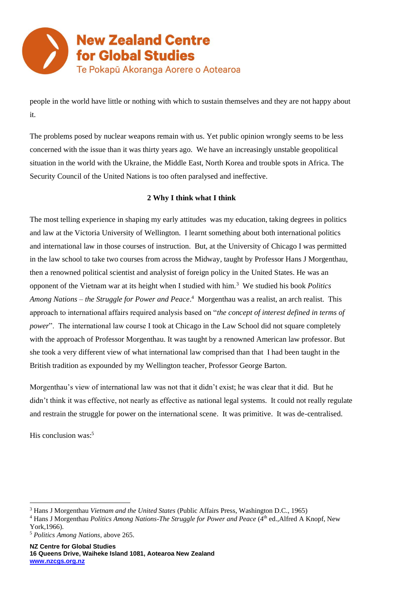

people in the world have little or nothing with which to sustain themselves and they are not happy about it.

The problems posed by nuclear weapons remain with us. Yet public opinion wrongly seems to be less concerned with the issue than it was thirty years ago. We have an increasingly unstable geopolitical situation in the world with the Ukraine, the Middle East, North Korea and trouble spots in Africa. The Security Council of the United Nations is too often paralysed and ineffective.

#### **2 Why I think what I think**

The most telling experience in shaping my early attitudes was my education, taking degrees in politics and law at the Victoria University of Wellington. I learnt something about both international politics and international law in those courses of instruction. But, at the University of Chicago I was permitted in the law school to take two courses from across the Midway, taught by Professor Hans J Morgenthau, then a renowned political scientist and analysist of foreign policy in the United States. He was an opponent of the Vietnam war at its height when I studied with him.<sup>3</sup> We studied his book *Politics Among Nations – the Struggle for Power and Peace*. 4 Morgenthau was a realist, an arch realist. This approach to international affairs required analysis based on "*the concept of interest defined in terms of power*". The international law course I took at Chicago in the Law School did not square completely with the approach of Professor Morgenthau. It was taught by a renowned American law professor. But she took a very different view of what international law comprised than that I had been taught in the British tradition as expounded by my Wellington teacher, Professor George Barton.

Morgenthau's view of international law was not that it didn't exist; he was clear that it did. But he didn't think it was effective, not nearly as effective as national legal systems. It could not really regulate and restrain the struggle for power on the international scene. It was primitive. It was de-centralised.

His conclusion was:<sup>5</sup>

<sup>3</sup> Hans J Morgenthau *Vietnam and the United States* (Public Affairs Press, Washington D.C., 1965)

<sup>&</sup>lt;sup>4</sup> Hans J Morgenthau *Politics Among Nations-The Struggle for Power and Peace* (4<sup>th</sup> ed., Alfred A Knopf, New York,1966).

<sup>5</sup> *Politics Among Nations*, above 265.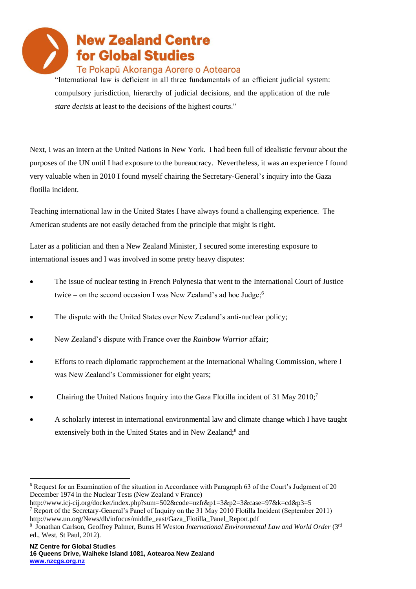

"International law is deficient in all three fundamentals of an efficient judicial system: compulsory jurisdiction, hierarchy of judicial decisions, and the application of the rule *stare decisis* at least to the decisions of the highest courts."

Next, I was an intern at the United Nations in New York. I had been full of idealistic fervour about the purposes of the UN until I had exposure to the bureaucracy. Nevertheless, it was an experience I found very valuable when in 2010 I found myself chairing the Secretary-General's inquiry into the Gaza flotilla incident.

Teaching international law in the United States I have always found a challenging experience. The American students are not easily detached from the principle that might is right.

Later as a politician and then a New Zealand Minister, I secured some interesting exposure to international issues and I was involved in some pretty heavy disputes:

- The issue of nuclear testing in French Polynesia that went to the International Court of Justice twice – on the second occasion I was New Zealand's ad hoc Judge;<sup>6</sup>
- The dispute with the United States over New Zealand's anti-nuclear policy;
- New Zealand's dispute with France over the *Rainbow Warrior* affair;
- Efforts to reach diplomatic rapprochement at the International Whaling Commission, where I was New Zealand's Commissioner for eight years;
- Chairing the United Nations Inquiry into the Gaza Flotilla incident of 31 May 2010;<sup>7</sup>
- A scholarly interest in international environmental law and climate change which I have taught extensively both in the United States and in New Zealand;8 and

<sup>6</sup> Request for an Examination of the situation in Accordance with Paragraph 63 of the Court's Judgment of 20 December 1974 in the Nuclear Tests (New Zealand v France)

http://www.icj-cij.org/docket/index.php?sum=502&code=nzfr&p1=3&p2=3&case=97&k=cd&p3=5 <sup>7</sup> Report of the Secretary-General's Panel of Inquiry on the 31 May 2010 Flotilla Incident (September 2011) http://www.un.org/News/dh/infocus/middle\_east/Gaza\_Flotilla\_Panel\_Report.pdf

<sup>&</sup>lt;sup>8</sup> Jonathan Carlson, Geoffrey Palmer, Burns H Weston *International Environmental Law and World Order* (3<sup>rd</sup> ed., West, St Paul, 2012).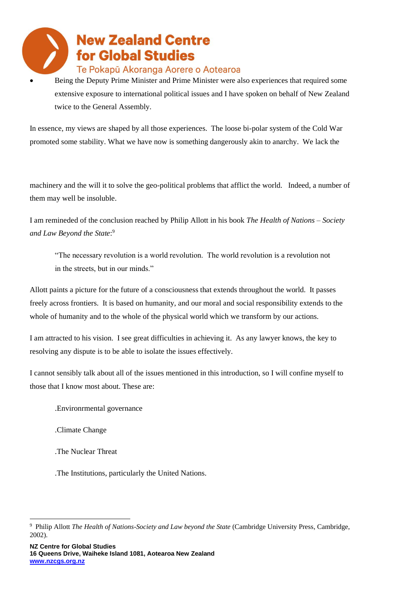• Being the Deputy Prime Minister and Prime Minister were also experiences that required some extensive exposure to international political issues and I have spoken on behalf of New Zealand twice to the General Assembly.

In essence, my views are shaped by all those experiences. The loose bi-polar system of the Cold War promoted some stability. What we have now is something dangerously akin to anarchy. We lack the

machinery and the will it to solve the geo-political problems that afflict the world. Indeed, a number of them may well be insoluble.

I am remineded of the conclusion reached by Philip Allott in his book *The Health of Nations – Society and Law Beyond the State*: 9

"The necessary revolution is a world revolution. The world revolution is a revolution not in the streets, but in our minds."

Allott paints a picture for the future of a consciousness that extends throughout the world. It passes freely across frontiers. It is based on humanity, and our moral and social responsibility extends to the whole of humanity and to the whole of the physical world which we transform by our actions.

I am attracted to his vision. I see great difficulties in achieving it. As any lawyer knows, the key to resolving any dispute is to be able to isolate the issues effectively.

I cannot sensibly talk about all of the issues mentioned in this introduction, so I will confine myself to those that I know most about. These are:

- .Environrmental governance
- .Climate Change
- .The Nuclear Threat
- .The Institutions, particularly the United Nations.

<sup>9</sup> Philip Allott *The Health of Nations-Society and Law beyond the State* (Cambridge University Press, Cambridge, 2002).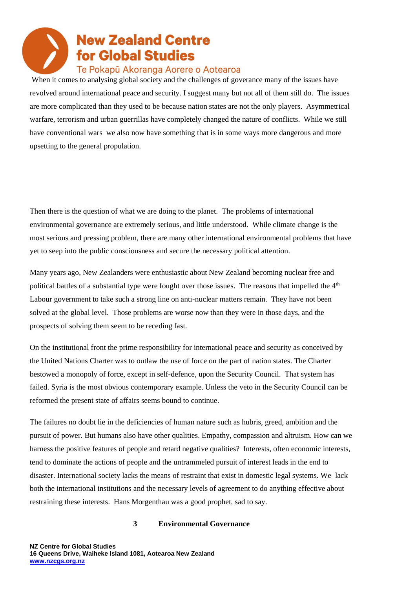When it comes to analysing global society and the challenges of goverance many of the issues have revolved around international peace and security. I suggest many but not all of them still do. The issues are more complicated than they used to be because nation states are not the only players. Asymmetrical warfare, terrorism and urban guerrillas have completely changed the nature of conflicts. While we still have conventional wars we also now have something that is in some ways more dangerous and more upsetting to the general propulation.

Then there is the question of what we are doing to the planet. The problems of international environmental governance are extremely serious, and little understood. While climate change is the most serious and pressing problem, there are many other international environmental problems that have yet to seep into the public consciousness and secure the necessary political attention.

Many years ago, New Zealanders were enthusiastic about New Zealand becoming nuclear free and political battles of a substantial type were fought over those issues. The reasons that impelled the  $4<sup>th</sup>$ Labour government to take such a strong line on anti-nuclear matters remain. They have not been solved at the global level. Those problems are worse now than they were in those days, and the prospects of solving them seem to be receding fast.

On the institutional front the prime responsibility for international peace and security as conceived by the United Nations Charter was to outlaw the use of force on the part of nation states. The Charter bestowed a monopoly of force, except in self-defence, upon the Security Council. That system has failed. Syria is the most obvious contemporary example. Unless the veto in the Security Council can be reformed the present state of affairs seems bound to continue.

The failures no doubt lie in the deficiencies of human nature such as hubris, greed, ambition and the pursuit of power. But humans also have other qualities. Empathy, compassion and altruism. How can we harness the positive features of people and retard negative qualities? Interests, often economic interests, tend to dominate the actions of people and the untrammeled pursuit of interest leads in the end to disaster. International society lacks the means of restraint that exist in domestic legal systems. We lack both the international institutions and the necessary levels of agreement to do anything effective about restraining these interests. Hans Morgenthau was a good prophet, sad to say.

#### **3 Environmental Governance**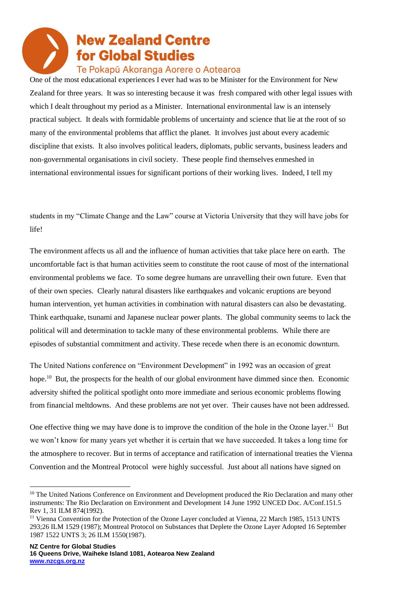### Te Pokapū Akoranga Aorere o Aotearoa

One of the most educational experiences I ever had was to be Minister for the Environment for New Zealand for three years. It was so interesting because it was fresh compared with other legal issues with which I dealt throughout my period as a Minister. International environmental law is an intensely practical subject. It deals with formidable problems of uncertainty and science that lie at the root of so many of the environmental problems that afflict the planet. It involves just about every academic discipline that exists. It also involves political leaders, diplomats, public servants, business leaders and non-governmental organisations in civil society. These people find themselves enmeshed in international environmental issues for significant portions of their working lives. Indeed, I tell my

students in my "Climate Change and the Law" course at Victoria University that they will have jobs for life!

The environment affects us all and the influence of human activities that take place here on earth. The uncomfortable fact is that human activities seem to constitute the root cause of most of the international environmental problems we face. To some degree humans are unravelling their own future. Even that of their own species. Clearly natural disasters like earthquakes and volcanic eruptions are beyond human intervention, yet human activities in combination with natural disasters can also be devastating. Think earthquake, tsunami and Japanese nuclear power plants. The global community seems to lack the political will and determination to tackle many of these environmental problems. While there are episodes of substantial commitment and activity. These recede when there is an economic downturn.

The United Nations conference on "Environment Development" in 1992 was an occasion of great hope.<sup>10</sup> But, the prospects for the health of our global environment have dimmed since then. Economic adversity shifted the political spotlight onto more immediate and serious economic problems flowing from financial meltdowns. And these problems are not yet over. Their causes have not been addressed.

One effective thing we may have done is to improve the condition of the hole in the Ozone layer.<sup>11</sup> But we won't know for many years yet whether it is certain that we have succeeded. It takes a long time for the atmosphere to recover. But in terms of acceptance and ratification of international treaties the Vienna Convention and the Montreal Protocol were highly successful. Just about all nations have signed on

<sup>&</sup>lt;sup>10</sup> The United Nations Conference on Environment and Development produced the Rio Declaration and many other instruments: The Rio Declaration on Environment and Development 14 June 1992 UNCED Doc. A/Conf.151.5 Rev 1, 31 ILM 874(1992).

<sup>&</sup>lt;sup>11</sup> Vienna Convention for the Protection of the Ozone Layer concluded at Vienna, 22 March 1985, 1513 UNTS 293;26 ILM 1529 (1987); Montreal Protocol on Substances that Deplete the Ozone Layer Adopted 16 September 1987 1522 UNTS 3; 26 ILM 1550(1987).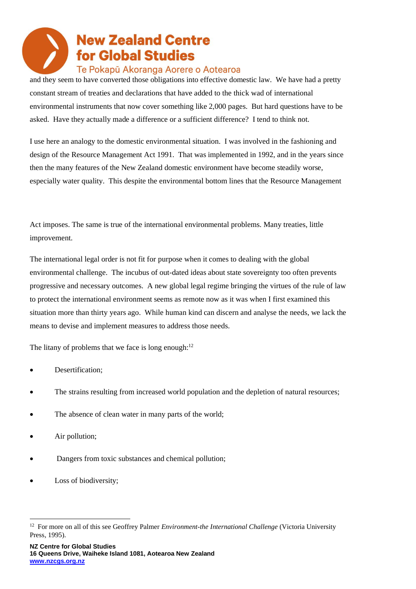### Te Pokapū Akoranga Aorere o Aotearoa

and they seem to have converted those obligations into effective domestic law. We have had a pretty constant stream of treaties and declarations that have added to the thick wad of international environmental instruments that now cover something like 2,000 pages. But hard questions have to be asked. Have they actually made a difference or a sufficient difference? I tend to think not.

I use here an analogy to the domestic environmental situation. I was involved in the fashioning and design of the Resource Management Act 1991. That was implemented in 1992, and in the years since then the many features of the New Zealand domestic environment have become steadily worse, especially water quality. This despite the environmental bottom lines that the Resource Management

Act imposes. The same is true of the international environmental problems. Many treaties, little improvement.

The international legal order is not fit for purpose when it comes to dealing with the global environmental challenge. The incubus of out-dated ideas about state sovereignty too often prevents progressive and necessary outcomes. A new global legal regime bringing the virtues of the rule of law to protect the international environment seems as remote now as it was when I first examined this situation more than thirty years ago. While human kind can discern and analyse the needs, we lack the means to devise and implement measures to address those needs.

The litany of problems that we face is long enough: $12$ 

- Desertification;
- The strains resulting from increased world population and the depletion of natural resources;
- The absence of clean water in many parts of the world;
- Air pollution;
- Dangers from toxic substances and chemical pollution;
- Loss of biodiversity;

<sup>&</sup>lt;sup>12</sup> For more on all of this see Geoffrey Palmer *Environment-the International Challenge* (Victoria University Press, 1995).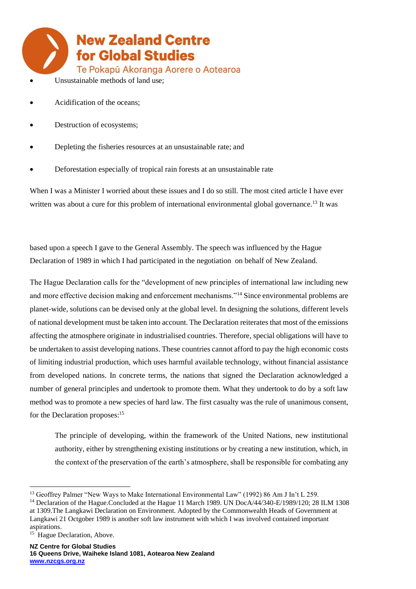

- Acidification of the oceans;
- Destruction of ecosystems;
- Depleting the fisheries resources at an unsustainable rate; and
- Deforestation especially of tropical rain forests at an unsustainable rate

When I was a Minister I worried about these issues and I do so still. The most cited article I have ever written was about a cure for this problem of international environmental global governance.<sup>13</sup> It was

based upon a speech I gave to the General Assembly. The speech was influenced by the Hague Declaration of 1989 in which I had participated in the negotiation on behalf of New Zealand.

The Hague Declaration calls for the "development of new principles of international law including new and more effective decision making and enforcement mechanisms."<sup>14</sup> Since environmental problems are planet-wide, solutions can be devised only at the global level. In designing the solutions, different levels of national development must be taken into account. The Declaration reiterates that most of the emissions affecting the atmosphere originate in industrialised countries. Therefore, special obligations will have to be undertaken to assist developing nations. These countries cannot afford to pay the high economic costs of limiting industrial production, which uses harmful available technology, without financial assistance from developed nations. In concrete terms, the nations that signed the Declaration acknowledged a number of general principles and undertook to promote them. What they undertook to do by a soft law method was to promote a new species of hard law. The first casualty was the rule of unanimous consent, for the Declaration proposes:<sup>15</sup>

The principle of developing, within the framework of the United Nations, new institutional authority, either by strengthening existing institutions or by creating a new institution, which, in the context of the preservation of the earth's atmosphere, shall be responsible for combating any

<sup>14</sup> Declaration of the Hague.Concluded at the Hague 11 March 1989. UN DocA/44/340-E/1989/120; 28 ILM 1308 at 1309.The Langkawi Declaration on Environment. Adopted by the Commonwealth Heads of Government at Langkawi 21 Octgober 1989 is another soft law instrument with which I was involved contained important

<sup>&</sup>lt;sup>13</sup> Geoffrey Palmer "New Ways to Make International Environmental Law" (1992) 86 Am J In't L 259.

aspirations.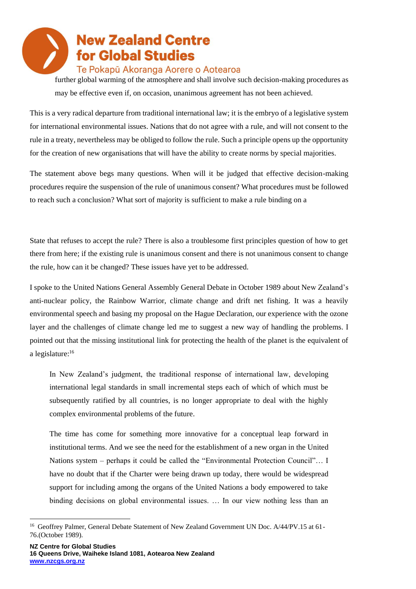#### Te Pokapū Akoranga Aorere o Aotearoa

further global warming of the atmosphere and shall involve such decision-making procedures as may be effective even if, on occasion, unanimous agreement has not been achieved.

This is a very radical departure from traditional international law; it is the embryo of a legislative system for international environmental issues. Nations that do not agree with a rule, and will not consent to the rule in a treaty, nevertheless may be obliged to follow the rule. Such a principle opens up the opportunity for the creation of new organisations that will have the ability to create norms by special majorities.

The statement above begs many questions. When will it be judged that effective decision-making procedures require the suspension of the rule of unanimous consent? What procedures must be followed to reach such a conclusion? What sort of majority is sufficient to make a rule binding on a

State that refuses to accept the rule? There is also a troublesome first principles question of how to get there from here; if the existing rule is unanimous consent and there is not unanimous consent to change the rule, how can it be changed? These issues have yet to be addressed.

I spoke to the United Nations General Assembly General Debate in October 1989 about New Zealand's anti-nuclear policy, the Rainbow Warrior, climate change and drift net fishing. It was a heavily environmental speech and basing my proposal on the Hague Declaration, our experience with the ozone layer and the challenges of climate change led me to suggest a new way of handling the problems. I pointed out that the missing institutional link for protecting the health of the planet is the equivalent of a legislature:<sup>16</sup>

In New Zealand's judgment, the traditional response of international law, developing international legal standards in small incremental steps each of which of which must be subsequently ratified by all countries, is no longer appropriate to deal with the highly complex environmental problems of the future.

The time has come for something more innovative for a conceptual leap forward in institutional terms. And we see the need for the establishment of a new organ in the United Nations system – perhaps it could be called the "Environmental Protection Council"… I have no doubt that if the Charter were being drawn up today, there would be widespread support for including among the organs of the United Nations a body empowered to take binding decisions on global environmental issues. … In our view nothing less than an

<sup>&</sup>lt;sup>16</sup> Geoffrey Palmer, General Debate Statement of New Zealand Government UN Doc. A/44/PV.15 at 61-76.(October 1989).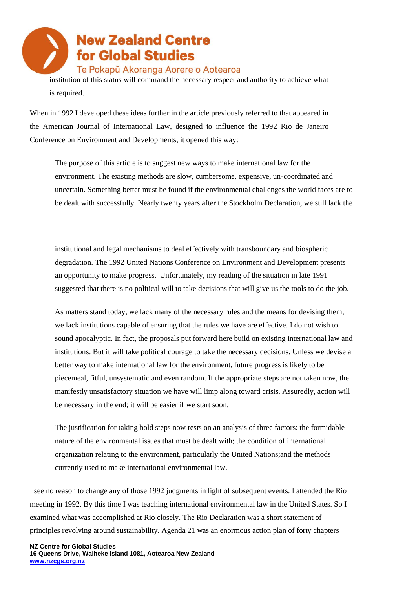

is required.

When in 1992 I developed these ideas further in the article previously referred to that appeared in the American Journal of International Law, designed to influence the 1992 Rio de Janeiro Conference on Environment and Developments, it opened this way:

The purpose of this article is to suggest new ways to make international law for the environment. The existing methods are slow, cumbersome, expensive, un-coordinated and uncertain. Something better must be found if the environmental challenges the world faces are to be dealt with successfully. Nearly twenty years after the Stockholm Declaration, we still lack the

institutional and legal mechanisms to deal effectively with transboundary and biospheric degradation. The 1992 United Nations Conference on Environment and Development presents an opportunity to make progress.' Unfortunately, my reading of the situation in late 1991 suggested that there is no political will to take decisions that will give us the tools to do the job.

As matters stand today, we lack many of the necessary rules and the means for devising them; we lack institutions capable of ensuring that the rules we have are effective. I do not wish to sound apocalyptic. In fact, the proposals put forward here build on existing international law and institutions. But it will take political courage to take the necessary decisions. Unless we devise a better way to make international law for the environment, future progress is likely to be piecemeal, fitful, unsystematic and even random. If the appropriate steps are not taken now, the manifestly unsatisfactory situation we have will limp along toward crisis. Assuredly, action will be necessary in the end; it will be easier if we start soon.

The justification for taking bold steps now rests on an analysis of three factors: the formidable nature of the environmental issues that must be dealt with; the condition of international organization relating to the environment, particularly the United Nations;and the methods currently used to make international environmental law.

I see no reason to change any of those 1992 judgments in light of subsequent events. I attended the Rio meeting in 1992. By this time I was teaching international environmental law in the United States. So I examined what was accomplished at Rio closely. The Rio Declaration was a short statement of principles revolving around sustainability. Agenda 21 was an enormous action plan of forty chapters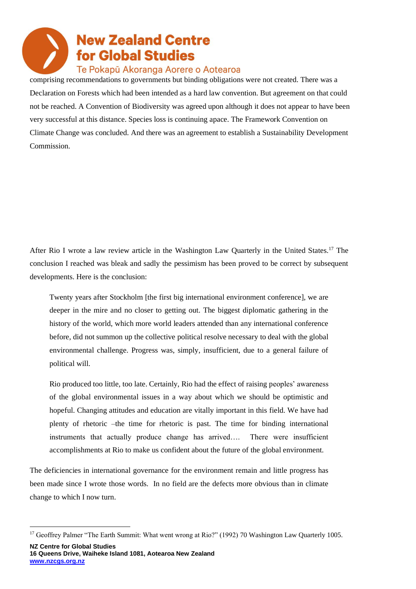

comprising recommendations to governments but binding obligations were not created. There was a Declaration on Forests which had been intended as a hard law convention. But agreement on that could not be reached. A Convention of Biodiversity was agreed upon although it does not appear to have been very successful at this distance. Species loss is continuing apace. The Framework Convention on Climate Change was concluded. And there was an agreement to establish a Sustainability Development Commission.

After Rio I wrote a law review article in the Washington Law Ouarterly in the United States.<sup>17</sup> The conclusion I reached was bleak and sadly the pessimism has been proved to be correct by subsequent developments. Here is the conclusion:

Twenty years after Stockholm [the first big international environment conference], we are deeper in the mire and no closer to getting out. The biggest diplomatic gathering in the history of the world, which more world leaders attended than any international conference before, did not summon up the collective political resolve necessary to deal with the global environmental challenge. Progress was, simply, insufficient, due to a general failure of political will.

Rio produced too little, too late. Certainly, Rio had the effect of raising peoples' awareness of the global environmental issues in a way about which we should be optimistic and hopeful. Changing attitudes and education are vitally important in this field. We have had plenty of rhetoric –the time for rhetoric is past. The time for binding international instruments that actually produce change has arrived…. There were insufficient accomplishments at Rio to make us confident about the future of the global environment.

The deficiencies in international governance for the environment remain and little progress has been made since I wrote those words. In no field are the defects more obvious than in climate change to which I now turn.

<sup>&</sup>lt;sup>17</sup> Geoffrey Palmer "The Earth Summit: What went wrong at Rio?" (1992) 70 Washington Law Quarterly 1005.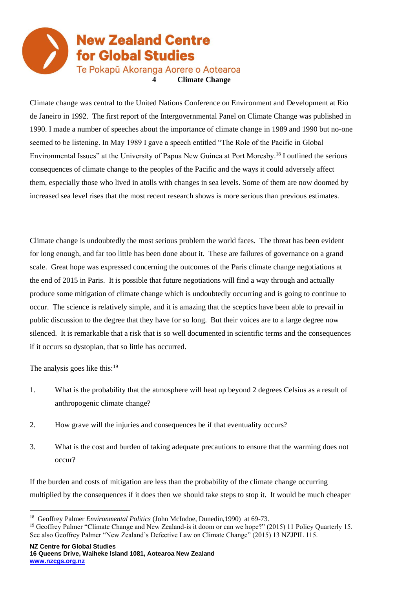

Climate change was central to the United Nations Conference on Environment and Development at Rio de Janeiro in 1992. The first report of the Intergovernmental Panel on Climate Change was published in 1990. I made a number of speeches about the importance of climate change in 1989 and 1990 but no-one seemed to be listening. In May 1989 I gave a speech entitled "The Role of the Pacific in Global Environmental Issues" at the University of Papua New Guinea at Port Moresby.<sup>18</sup> I outlined the serious consequences of climate change to the peoples of the Pacific and the ways it could adversely affect them, especially those who lived in atolls with changes in sea levels. Some of them are now doomed by increased sea level rises that the most recent research shows is more serious than previous estimates.

Climate change is undoubtedly the most serious problem the world faces. The threat has been evident for long enough, and far too little has been done about it. These are failures of governance on a grand scale. Great hope was expressed concerning the outcomes of the Paris climate change negotiations at the end of 2015 in Paris. It is possible that future negotiations will find a way through and actually produce some mitigation of climate change which is undoubtedly occurring and is going to continue to occur. The science is relatively simple, and it is amazing that the sceptics have been able to prevail in public discussion to the degree that they have for so long. But their voices are to a large degree now silenced. It is remarkable that a risk that is so well documented in scientific terms and the consequences if it occurs so dystopian, that so little has occurred.

The analysis goes like this: $19$ 

- 1. What is the probability that the atmosphere will heat up beyond 2 degrees Celsius as a result of anthropogenic climate change?
- 2. How grave will the injuries and consequences be if that eventuality occurs?
- 3. What is the cost and burden of taking adequate precautions to ensure that the warming does not occur?

If the burden and costs of mitigation are less than the probability of the climate change occurring multiplied by the consequences if it does then we should take steps to stop it. It would be much cheaper

<sup>&</sup>lt;sup>18</sup> Geoffrey Palmer *Environmental Politics* (John McIndoe, Dunedin, 1990) at 69-73.

<sup>&</sup>lt;sup>19</sup> Geoffrey Palmer "Climate Change and New Zealand-is it doom or can we hope?" (2015) 11 Policy Quarterly 15. See also Geoffrey Palmer "New Zealand's Defective Law on Climate Change" (2015) 13 NZJPIL 115.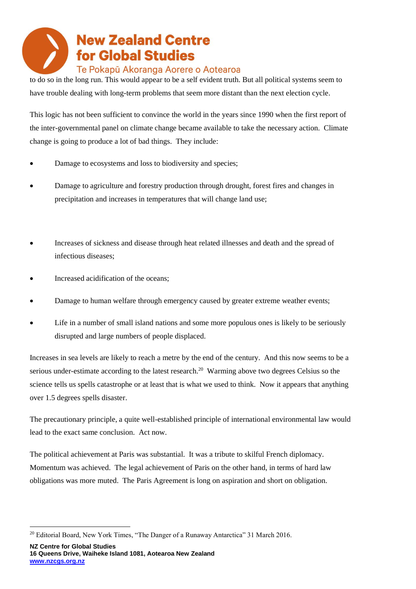to do so in the long run. This would appear to be a self evident truth. But all political systems seem to have trouble dealing with long-term problems that seem more distant than the next election cycle.

This logic has not been sufficient to convince the world in the years since 1990 when the first report of the inter-governmental panel on climate change became available to take the necessary action. Climate change is going to produce a lot of bad things. They include:

- Damage to ecosystems and loss to biodiversity and species;
- Damage to agriculture and forestry production through drought, forest fires and changes in precipitation and increases in temperatures that will change land use;
- Increases of sickness and disease through heat related illnesses and death and the spread of infectious diseases;
- Increased acidification of the oceans;
- Damage to human welfare through emergency caused by greater extreme weather events;
- Life in a number of small island nations and some more populous ones is likely to be seriously disrupted and large numbers of people displaced.

Increases in sea levels are likely to reach a metre by the end of the century. And this now seems to be a serious under-estimate according to the latest research.<sup>20</sup> Warming above two degrees Celsius so the science tells us spells catastrophe or at least that is what we used to think. Now it appears that anything over 1.5 degrees spells disaster.

The precautionary principle, a quite well-established principle of international environmental law would lead to the exact same conclusion. Act now.

The political achievement at Paris was substantial. It was a tribute to skilful French diplomacy. Momentum was achieved. The legal achievement of Paris on the other hand, in terms of hard law obligations was more muted. The Paris Agreement is long on aspiration and short on obligation.

<sup>&</sup>lt;sup>20</sup> Editorial Board, New York Times, "The Danger of a Runaway Antarctica" 31 March 2016.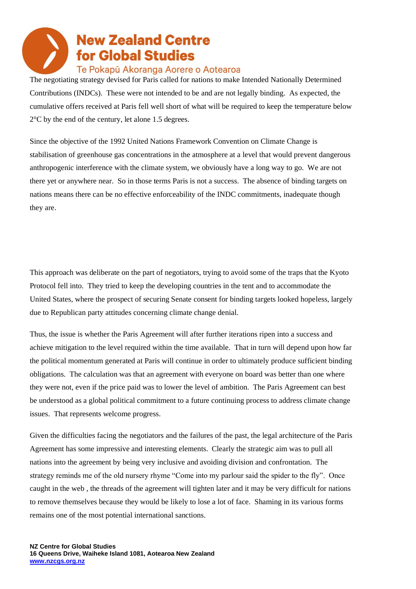The negotiating strategy devised for Paris called for nations to make Intended Nationally Determined Contributions (INDCs). These were not intended to be and are not legally binding. As expected, the cumulative offers received at Paris fell well short of what will be required to keep the temperature below 2°C by the end of the century, let alone 1.5 degrees.

Since the objective of the 1992 United Nations Framework Convention on Climate Change is stabilisation of greenhouse gas concentrations in the atmosphere at a level that would prevent dangerous anthropogenic interference with the climate system, we obviously have a long way to go. We are not there yet or anywhere near. So in those terms Paris is not a success. The absence of binding targets on nations means there can be no effective enforceability of the INDC commitments, inadequate though they are.

This approach was deliberate on the part of negotiators, trying to avoid some of the traps that the Kyoto Protocol fell into. They tried to keep the developing countries in the tent and to accommodate the United States, where the prospect of securing Senate consent for binding targets looked hopeless, largely due to Republican party attitudes concerning climate change denial.

Thus, the issue is whether the Paris Agreement will after further iterations ripen into a success and achieve mitigation to the level required within the time available. That in turn will depend upon how far the political momentum generated at Paris will continue in order to ultimately produce sufficient binding obligations. The calculation was that an agreement with everyone on board was better than one where they were not, even if the price paid was to lower the level of ambition. The Paris Agreement can best be understood as a global political commitment to a future continuing process to address climate change issues. That represents welcome progress.

Given the difficulties facing the negotiators and the failures of the past, the legal architecture of the Paris Agreement has some impressive and interesting elements. Clearly the strategic aim was to pull all nations into the agreement by being very inclusive and avoiding division and confrontation. The strategy reminds me of the old nursery rhyme "Come into my parlour said the spider to the fly". Once caught in the web , the threads of the agreement will tighten later and it may be very difficult for nations to remove themselves because they would be likely to lose a lot of face. Shaming in its various forms remains one of the most potential international sanctions.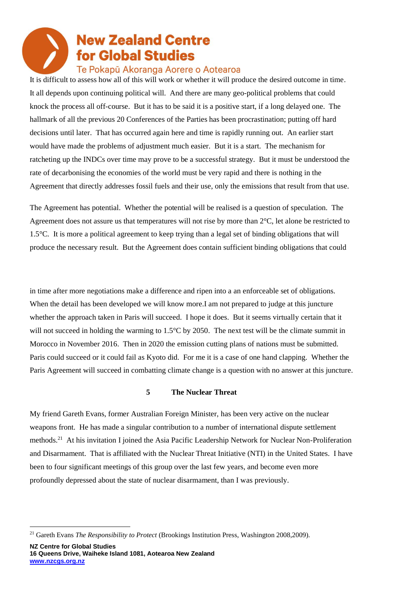### Te Pokapū Akoranga Aorere o Aotearoa

It is difficult to assess how all of this will work or whether it will produce the desired outcome in time. It all depends upon continuing political will. And there are many geo-political problems that could knock the process all off-course. But it has to be said it is a positive start, if a long delayed one. The hallmark of all the previous 20 Conferences of the Parties has been procrastination; putting off hard decisions until later. That has occurred again here and time is rapidly running out. An earlier start would have made the problems of adjustment much easier. But it is a start. The mechanism for ratcheting up the INDCs over time may prove to be a successful strategy. But it must be understood the rate of decarbonising the economies of the world must be very rapid and there is nothing in the Agreement that directly addresses fossil fuels and their use, only the emissions that result from that use.

The Agreement has potential. Whether the potential will be realised is a question of speculation. The Agreement does not assure us that temperatures will not rise by more than 2°C, let alone be restricted to 1.5°C. It is more a political agreement to keep trying than a legal set of binding obligations that will produce the necessary result. But the Agreement does contain sufficient binding obligations that could

in time after more negotiations make a difference and ripen into a an enforceable set of obligations. When the detail has been developed we will know more. I am not prepared to judge at this juncture whether the approach taken in Paris will succeed. I hope it does. But it seems virtually certain that it will not succeed in holding the warming to 1.5<sup>o</sup>C by 2050. The next test will be the climate summit in Morocco in November 2016. Then in 2020 the emission cutting plans of nations must be submitted. Paris could succeed or it could fail as Kyoto did. For me it is a case of one hand clapping. Whether the Paris Agreement will succeed in combatting climate change is a question with no answer at this juncture.

#### **5 The Nuclear Threat**

My friend Gareth Evans, former Australian Foreign Minister, has been very active on the nuclear weapons front. He has made a singular contribution to a number of international dispute settlement methods.<sup>21</sup> At his invitation I joined the Asia Pacific Leadership Network for Nuclear Non-Proliferation and Disarmament. That is affiliated with the Nuclear Threat Initiative (NTI) in the United States. I have been to four significant meetings of this group over the last few years, and become even more profoundly depressed about the state of nuclear disarmament, than I was previously.

<sup>21</sup> Gareth Evans *The Responsibility to Protect* (Brookings Institution Press, Washington 2008,2009).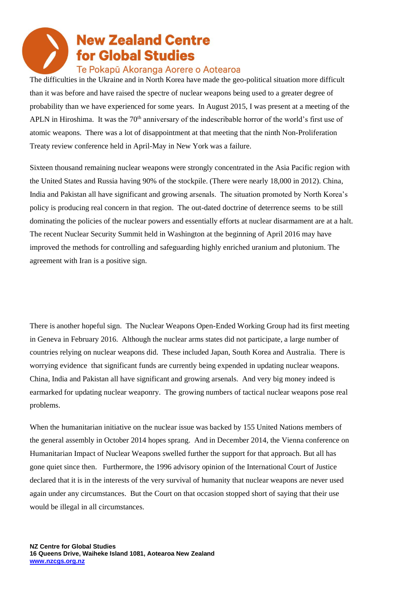The difficulties in the Ukraine and in North Korea have made the geo-political situation more difficult than it was before and have raised the spectre of nuclear weapons being used to a greater degree of probability than we have experienced for some years. In August 2015, I was present at a meeting of the APLN in Hiroshima. It was the  $70<sup>th</sup>$  anniversary of the indescribable horror of the world's first use of atomic weapons. There was a lot of disappointment at that meeting that the ninth Non-Proliferation Treaty review conference held in April-May in New York was a failure.

Sixteen thousand remaining nuclear weapons were strongly concentrated in the Asia Pacific region with the United States and Russia having 90% of the stockpile. (There were nearly 18,000 in 2012). China, India and Pakistan all have significant and growing arsenals. The situation promoted by North Korea's policy is producing real concern in that region. The out-dated doctrine of deterrence seems to be still dominating the policies of the nuclear powers and essentially efforts at nuclear disarmament are at a halt. The recent Nuclear Security Summit held in Washington at the beginning of April 2016 may have improved the methods for controlling and safeguarding highly enriched uranium and plutonium. The agreement with Iran is a positive sign.

There is another hopeful sign. The Nuclear Weapons Open-Ended Working Group had its first meeting in Geneva in February 2016. Although the nuclear arms states did not participate, a large number of countries relying on nuclear weapons did. These included Japan, South Korea and Australia. There is worrying evidence that significant funds are currently being expended in updating nuclear weapons. China, India and Pakistan all have significant and growing arsenals. And very big money indeed is earmarked for updating nuclear weaponry. The growing numbers of tactical nuclear weapons pose real problems.

When the humanitarian initiative on the nuclear issue was backed by 155 United Nations members of the general assembly in October 2014 hopes sprang. And in December 2014, the Vienna conference on Humanitarian Impact of Nuclear Weapons swelled further the support for that approach. But all has gone quiet since then. Furthermore, the 1996 advisory opinion of the International Court of Justice declared that it is in the interests of the very survival of humanity that nuclear weapons are never used again under any circumstances. But the Court on that occasion stopped short of saying that their use would be illegal in all circumstances.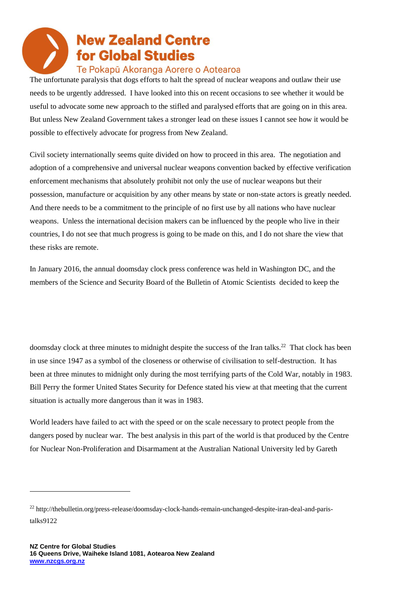### Te Pokapū Akoranga Aorere o Aotearoa

The unfortunate paralysis that dogs efforts to halt the spread of nuclear weapons and outlaw their use needs to be urgently addressed. I have looked into this on recent occasions to see whether it would be useful to advocate some new approach to the stifled and paralysed efforts that are going on in this area. But unless New Zealand Government takes a stronger lead on these issues I cannot see how it would be possible to effectively advocate for progress from New Zealand.

Civil society internationally seems quite divided on how to proceed in this area. The negotiation and adoption of a comprehensive and universal nuclear weapons convention backed by effective verification enforcement mechanisms that absolutely prohibit not only the use of nuclear weapons but their possession, manufacture or acquisition by any other means by state or non-state actors is greatly needed. And there needs to be a commitment to the principle of no first use by all nations who have nuclear weapons. Unless the international decision makers can be influenced by the people who live in their countries, I do not see that much progress is going to be made on this, and I do not share the view that these risks are remote.

In January 2016, the annual doomsday clock press conference was held in Washington DC, and the members of the Science and Security Board of the Bulletin of Atomic Scientists decided to keep the

doomsday clock at three minutes to midnight despite the success of the Iran talks.<sup>22</sup> That clock has been in use since 1947 as a symbol of the closeness or otherwise of civilisation to self-destruction. It has been at three minutes to midnight only during the most terrifying parts of the Cold War, notably in 1983. Bill Perry the former United States Security for Defence stated his view at that meeting that the current situation is actually more dangerous than it was in 1983.

World leaders have failed to act with the speed or on the scale necessary to protect people from the dangers posed by nuclear war. The best analysis in this part of the world is that produced by the Centre for Nuclear Non-Proliferation and Disarmament at the Australian National University led by Gareth

<sup>22</sup> http://thebulletin.org/press-release/doomsday-clock-hands-remain-unchanged-despite-iran-deal-and-paristalks9122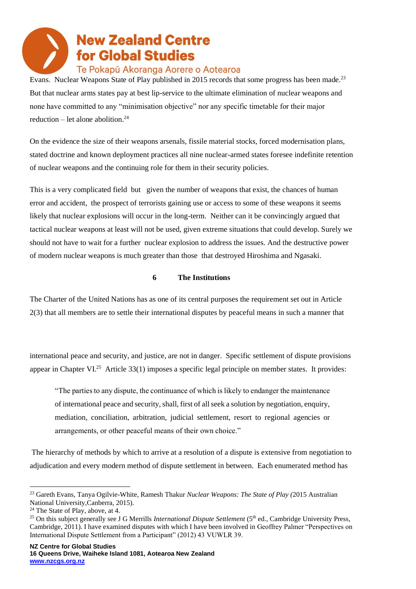### Te Pokapū Akoranga Aorere o Aotearoa

Evans. Nuclear Weapons State of Play published in 2015 records that some progress has been made.<sup>23</sup> But that nuclear arms states pay at best lip-service to the ultimate elimination of nuclear weapons and none have committed to any "minimisation objective" nor any specific timetable for their major reduction – let alone abolition. $^{24}$ 

On the evidence the size of their weapons arsenals, fissile material stocks, forced modernisation plans, stated doctrine and known deployment practices all nine nuclear-armed states foresee indefinite retention of nuclear weapons and the continuing role for them in their security policies.

This is a very complicated field but given the number of weapons that exist, the chances of human error and accident, the prospect of terrorists gaining use or access to some of these weapons it seems likely that nuclear explosions will occur in the long-term. Neither can it be convincingly argued that tactical nuclear weapons at least will not be used, given extreme situations that could develop. Surely we should not have to wait for a further nuclear explosion to address the issues. And the destructive power of modern nuclear weapons is much greater than those that destroyed Hiroshima and Ngasaki.

#### **6 The Institutions**

The Charter of the United Nations has as one of its central purposes the requirement set out in Article 2(3) that all members are to settle their international disputes by peaceful means in such a manner that

international peace and security, and justice, are not in danger. Specific settlement of dispute provisions appear in Chapter VI.<sup>25</sup> Article 33(1) imposes a specific legal principle on member states. It provides:

"The parties to any dispute, the continuance of which is likely to endanger the maintenance of international peace and security, shall, first of all seek a solution by negotiation, enquiry, mediation, conciliation, arbitration, judicial settlement, resort to regional agencies or arrangements, or other peaceful means of their own choice."

The hierarchy of methods by which to arrive at a resolution of a dispute is extensive from negotiation to adjudication and every modern method of dispute settlement in between. Each enumerated method has

<sup>23</sup> Gareth Evans, Tanya Ogilvie-White, Ramesh Thakur *Nuclear Weapons: The State of Play (*2015 Australian National University,Canberra, 2015).

 $24$  The State of Play, above, at 4.

<sup>&</sup>lt;sup>25</sup> On this subject generally see J G Merrills *International Dispute Settlement* (5<sup>th</sup> ed., Cambridge University Press, Cambridge, 2011). I have examined disputes with which I have been involved in Geoffrey Palmer "Perspectives on International Dispute Settlement from a Participant" (2012) 43 VUWLR 39.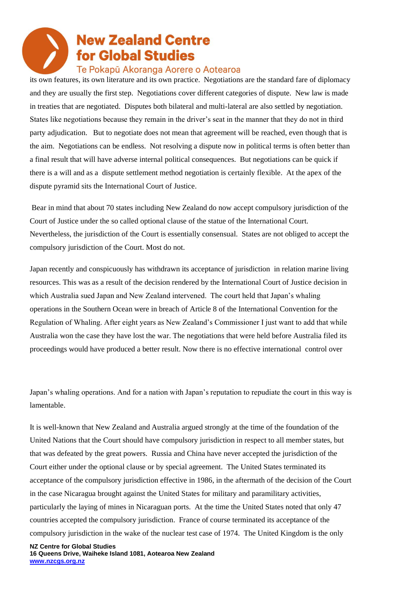### Te Pokapū Akoranga Aorere o Aotearoa

its own features, its own literature and its own practice. Negotiations are the standard fare of diplomacy and they are usually the first step. Negotiations cover different categories of dispute. New law is made in treaties that are negotiated. Disputes both bilateral and multi-lateral are also settled by negotiation. States like negotiations because they remain in the driver's seat in the manner that they do not in third party adjudication. But to negotiate does not mean that agreement will be reached, even though that is the aim. Negotiations can be endless. Not resolving a dispute now in political terms is often better than a final result that will have adverse internal political consequences. But negotiations can be quick if there is a will and as a dispute settlement method negotiation is certainly flexible. At the apex of the dispute pyramid sits the International Court of Justice.

Bear in mind that about 70 states including New Zealand do now accept compulsory jurisdiction of the Court of Justice under the so called optional clause of the statue of the International Court. Nevertheless, the jurisdiction of the Court is essentially consensual. States are not obliged to accept the compulsory jurisdiction of the Court. Most do not.

Japan recently and conspicuously has withdrawn its acceptance of jurisdiction in relation marine living resources. This was as a result of the decision rendered by the International Court of Justice decision in which Australia sued Japan and New Zealand intervened. The court held that Japan's whaling operations in the Southern Ocean were in breach of Article 8 of the International Convention for the Regulation of Whaling. After eight years as New Zealand's Commissioner I just want to add that while Australia won the case they have lost the war. The negotiations that were held before Australia filed its proceedings would have produced a better result. Now there is no effective international control over

Japan's whaling operations. And for a nation with Japan's reputation to repudiate the court in this way is lamentable.

It is well-known that New Zealand and Australia argued strongly at the time of the foundation of the United Nations that the Court should have compulsory jurisdiction in respect to all member states, but that was defeated by the great powers. Russia and China have never accepted the jurisdiction of the Court either under the optional clause or by special agreement. The United States terminated its acceptance of the compulsory jurisdiction effective in 1986, in the aftermath of the decision of the Court in the case Nicaragua brought against the United States for military and paramilitary activities, particularly the laying of mines in Nicaraguan ports. At the time the United States noted that only 47 countries accepted the compulsory jurisdiction. France of course terminated its acceptance of the compulsory jurisdiction in the wake of the nuclear test case of 1974. The United Kingdom is the only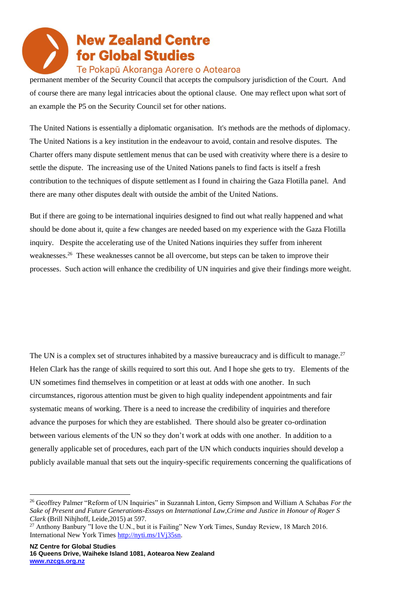### Te Pokapū Akoranga Aorere o Aotearoa

permanent member of the Security Council that accepts the compulsory jurisdiction of the Court. And of course there are many legal intricacies about the optional clause. One may reflect upon what sort of an example the P5 on the Security Council set for other nations.

The United Nations is essentially a diplomatic organisation. It's methods are the methods of diplomacy. The United Nations is a key institution in the endeavour to avoid, contain and resolve disputes. The Charter offers many dispute settlement menus that can be used with creativity where there is a desire to settle the dispute. The increasing use of the United Nations panels to find facts is itself a fresh contribution to the techniques of dispute settlement as I found in chairing the Gaza Flotilla panel. And there are many other disputes dealt with outside the ambit of the United Nations.

But if there are going to be international inquiries designed to find out what really happened and what should be done about it, quite a few changes are needed based on my experience with the Gaza Flotilla inquiry. Despite the accelerating use of the United Nations inquiries they suffer from inherent weaknesses.<sup>26</sup> These weaknesses cannot be all overcome, but steps can be taken to improve their processes. Such action will enhance the credibility of UN inquiries and give their findings more weight.

The UN is a complex set of structures inhabited by a massive bureaucracy and is difficult to manage.<sup>27</sup> Helen Clark has the range of skills required to sort this out. And I hope she gets to try. Elements of the UN sometimes find themselves in competition or at least at odds with one another. In such circumstances, rigorous attention must be given to high quality independent appointments and fair systematic means of working. There is a need to increase the credibility of inquiries and therefore advance the purposes for which they are established. There should also be greater co-ordination between various elements of the UN so they don't work at odds with one another. In addition to a generally applicable set of procedures, each part of the UN which conducts inquiries should develop a publicly available manual that sets out the inquiry-specific requirements concerning the qualifications of

<sup>26</sup> Geoffrey Palmer "Reform of UN Inquiries" in Suzannah Linton, Gerry Simpson and William A Schabas *For the Sake of Present and Future Generations-Essays on International Law,Crime and Justice in Honour of Roger S Clark* (Brill Nihjhoff, Leide,2015) at 597.

<sup>&</sup>lt;sup>27</sup> Anthony Banbury "I love the U.N., but it is Failing" New York Times, Sunday Review, 18 March 2016. International New York Times [http://nyti.ms/1Vj35sn.](http://nyti.ms/1Vj35sn)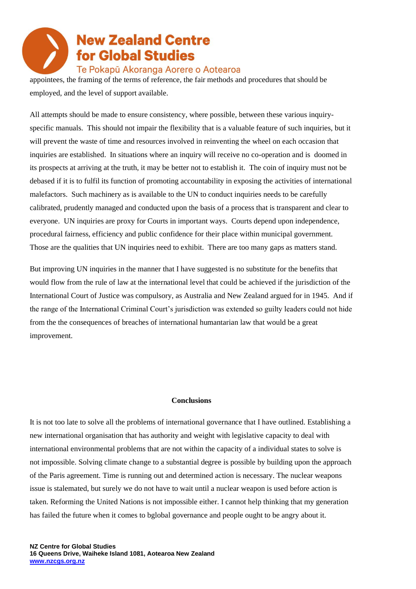Te Pokapū Akoranga Aorere o Aotearoa

appointees, the framing of the terms of reference, the fair methods and procedures that should be employed, and the level of support available.

All attempts should be made to ensure consistency, where possible, between these various inquiryspecific manuals. This should not impair the flexibility that is a valuable feature of such inquiries, but it will prevent the waste of time and resources involved in reinventing the wheel on each occasion that inquiries are established. In situations where an inquiry will receive no co-operation and is doomed in its prospects at arriving at the truth, it may be better not to establish it. The coin of inquiry must not be debased if it is to fulfil its function of promoting accountability in exposing the activities of international malefactors. Such machinery as is available to the UN to conduct inquiries needs to be carefully calibrated, prudently managed and conducted upon the basis of a process that is transparent and clear to everyone. UN inquiries are proxy for Courts in important ways. Courts depend upon independence, procedural fairness, efficiency and public confidence for their place within municipal government. Those are the qualities that UN inquiries need to exhibit. There are too many gaps as matters stand.

But improving UN inquiries in the manner that I have suggested is no substitute for the benefits that would flow from the rule of law at the international level that could be achieved if the jurisdiction of the International Court of Justice was compulsory, as Australia and New Zealand argued for in 1945. And if the range of the International Criminal Court's jurisdiction was extended so guilty leaders could not hide from the the consequences of breaches of international humantarian law that would be a great improvement.

#### **Conclusions**

It is not too late to solve all the problems of international governance that I have outlined. Establishing a new international organisation that has authority and weight with legislative capacity to deal with international environmental problems that are not within the capacity of a individual states to solve is not impossible. Solving climate change to a substantial degree is possible by building upon the approach of the Paris agreement. Time is running out and determined action is necessary. The nuclear weapons issue is stalemated, but surely we do not have to wait until a nuclear weapon is used before action is taken. Reforming the United Nations is not impossible either. I cannot help thinking that my generation has failed the future when it comes to bglobal governance and people ought to be angry about it.